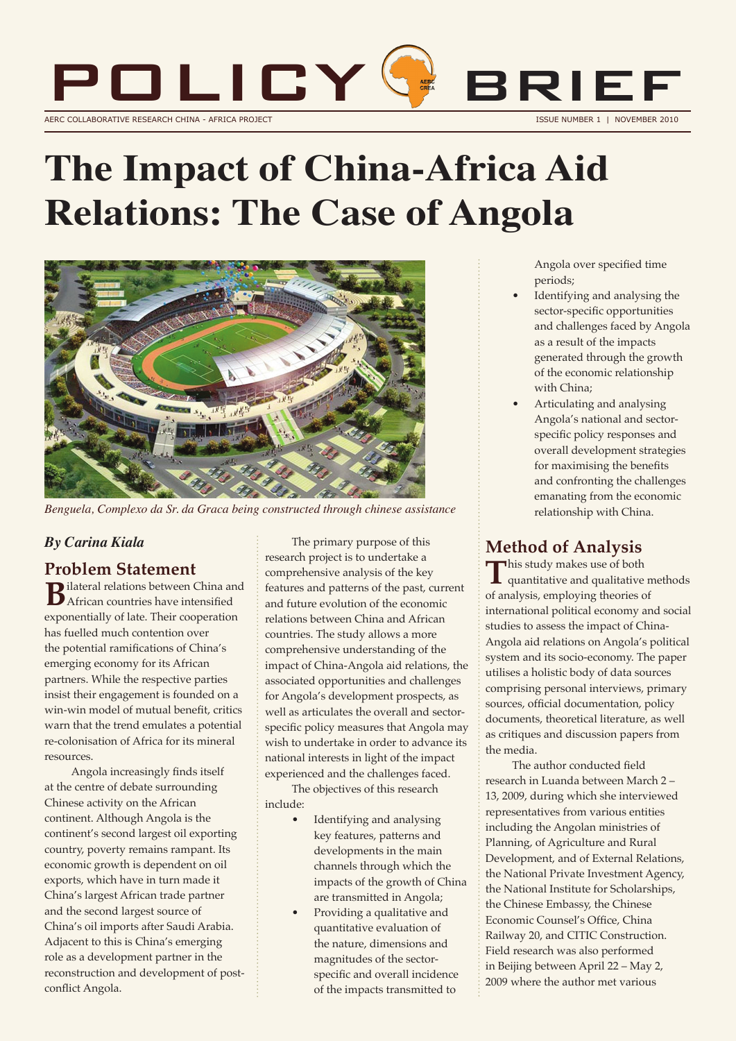

# **The Impact of China-Africa Aid Relations: The Case of Angola**



*Benguela, Complexo da Sr. da Graca being constructed through chinese assistance*

#### *By Carina Kiala*

#### **Problem Statement**

**B**ilateral relations between China and African countries have intensified exponentially of late. Their cooperation has fuelled much contention over the potential ramifications of China's emerging economy for its African partners. While the respective parties insist their engagement is founded on a win-win model of mutual benefit, critics warn that the trend emulates a potential re-colonisation of Africa for its mineral resources.

Angola increasingly finds itself at the centre of debate surrounding Chinese activity on the African continent. Although Angola is the continent's second largest oil exporting country, poverty remains rampant. Its economic growth is dependent on oil exports, which have in turn made it China's largest African trade partner and the second largest source of China's oil imports after Saudi Arabia. Adjacent to this is China's emerging role as a development partner in the reconstruction and development of postconflict Angola.

The primary purpose of this research project is to undertake a comprehensive analysis of the key features and patterns of the past, current and future evolution of the economic relations between China and African countries. The study allows a more comprehensive understanding of the impact of China-Angola aid relations, the associated opportunities and challenges for Angola's development prospects, as well as articulates the overall and sectorspecific policy measures that Angola may wish to undertake in order to advance its national interests in light of the impact experienced and the challenges faced.

The objectives of this research include:

- Identifying and analysing key features, patterns and developments in the main channels through which the impacts of the growth of China are transmitted in Angola;
- Providing a qualitative and quantitative evaluation of the nature, dimensions and magnitudes of the sectorspecific and overall incidence of the impacts transmitted to

Angola over specified time periods;

- Identifying and analysing the sector-specific opportunities and challenges faced by Angola as a result of the impacts generated through the growth of the economic relationship with China;
- Articulating and analysing Angola's national and sectorspecific policy responses and overall development strategies for maximising the benefits and confronting the challenges emanating from the economic relationship with China.

#### **Method of Analysis**

This study makes use of both quantitative and qualitative methods of analysis, employing theories of international political economy and social studies to assess the impact of China-Angola aid relations on Angola's political system and its socio-economy. The paper utilises a holistic body of data sources comprising personal interviews, primary sources, official documentation, policy documents, theoretical literature, as well as critiques and discussion papers from the media.

The author conducted field research in Luanda between March 2 – 13, 2009, during which she interviewed representatives from various entities including the Angolan ministries of Planning, of Agriculture and Rural Development, and of External Relations, the National Private Investment Agency, the National Institute for Scholarships, the Chinese Embassy, the Chinese Economic Counsel's Office, China Railway 20, and CITIC Construction. Field research was also performed in Beijing between April 22 – May 2, 2009 where the author met various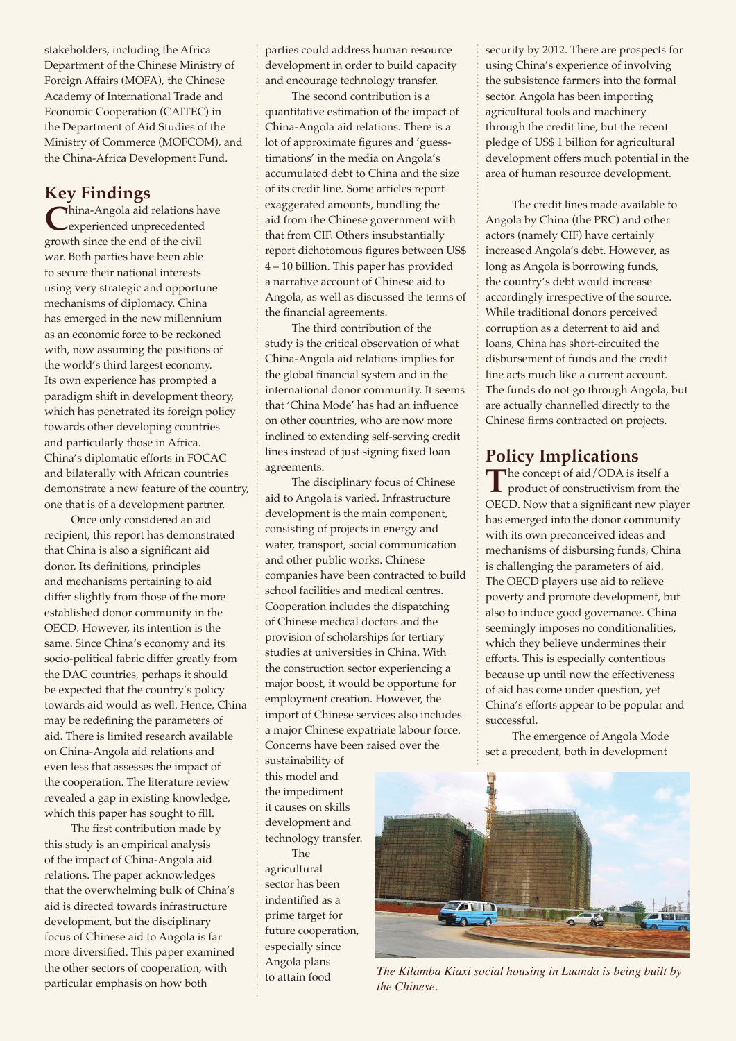stakeholders, including the Africa Department of the Chinese Ministry of Foreign Affairs (MOFA), the Chinese Academy of International Trade and Economic Cooperation (CAITEC) in the Department of Aid Studies of the Ministry of Commerce (MOFCOM), and the China-Africa Development Fund.

**Key Findings**<br>hina-Angola aid relations have **C**hina-Angola aid relations have experienced unprecedented growth since the end of the civil war. Both parties have been able to secure their national interests using very strategic and opportune mechanisms of diplomacy. China has emerged in the new millennium as an economic force to be reckoned with, now assuming the positions of the world's third largest economy. Its own experience has prompted a paradigm shift in development theory, which has penetrated its foreign policy towards other developing countries and particularly those in Africa. China's diplomatic efforts in FOCAC and bilaterally with African countries demonstrate a new feature of the country, one that is of a development partner.

Once only considered an aid recipient, this report has demonstrated that China is also a significant aid donor. Its definitions, principles and mechanisms pertaining to aid differ slightly from those of the more established donor community in the OECD. However, its intention is the same. Since China's economy and its socio-political fabric differ greatly from the DAC countries, perhaps it should be expected that the country's policy towards aid would as well. Hence, China may be redefining the parameters of aid. There is limited research available on China-Angola aid relations and even less that assesses the impact of the cooperation. The literature review revealed a gap in existing knowledge, which this paper has sought to fill.

The first contribution made by this study is an empirical analysis of the impact of China-Angola aid relations. The paper acknowledges that the overwhelming bulk of China's aid is directed towards infrastructure development, but the disciplinary focus of Chinese aid to Angola is far more diversified. This paper examined the other sectors of cooperation, with particular emphasis on how both

parties could address human resource development in order to build capacity and encourage technology transfer.

The second contribution is a quantitative estimation of the impact of China-Angola aid relations. There is a lot of approximate figures and 'guesstimations' in the media on Angola's accumulated debt to China and the size of its credit line. Some articles report exaggerated amounts, bundling the aid from the Chinese government with that from CIF. Others insubstantially report dichotomous figures between US\$ 4 – 10 billion. This paper has provided a narrative account of Chinese aid to Angola, as well as discussed the terms of the financial agreements.

The third contribution of the study is the critical observation of what China-Angola aid relations implies for the global financial system and in the international donor community. It seems that 'China Mode' has had an influence on other countries, who are now more inclined to extending self-serving credit lines instead of just signing fixed loan agreements.

The disciplinary focus of Chinese aid to Angola is varied. Infrastructure development is the main component, consisting of projects in energy and water, transport, social communication and other public works. Chinese companies have been contracted to build school facilities and medical centres. Cooperation includes the dispatching of Chinese medical doctors and the provision of scholarships for tertiary studies at universities in China. With the construction sector experiencing a major boost, it would be opportune for employment creation. However, the import of Chinese services also includes a major Chinese expatriate labour force. Concerns have been raised over the

sustainability of this model and the impediment it causes on skills development and technology transfer.

The agricultural sector has been indentified as a prime target for future cooperation, especially since Angola plans to attain food

security by 2012. There are prospects for using China's experience of involving the subsistence farmers into the formal sector. Angola has been importing agricultural tools and machinery through the credit line, but the recent pledge of US\$ 1 billion for agricultural development offers much potential in the area of human resource development.

The credit lines made available to Angola by China (the PRC) and other actors (namely CIF) have certainly increased Angola's debt. However, as long as Angola is borrowing funds, the country's debt would increase accordingly irrespective of the source. While traditional donors perceived corruption as a deterrent to aid and loans, China has short-circuited the disbursement of funds and the credit line acts much like a current account. The funds do not go through Angola, but are actually channelled directly to the Chinese firms contracted on projects.

## **Policy Implications**<br>The concept of aid/ODA is itself a

The concept of aid/ODA is itself a<br>product of constructivism from the OECD. Now that a significant new player has emerged into the donor community with its own preconceived ideas and mechanisms of disbursing funds, China is challenging the parameters of aid. The OECD players use aid to relieve poverty and promote development, but also to induce good governance. China seemingly imposes no conditionalities, which they believe undermines their efforts. This is especially contentious because up until now the effectiveness of aid has come under question, yet China's efforts appear to be popular and successful.

The emergence of Angola Mode set a precedent, both in development



*The Kilamba Kiaxi social housing in Luanda is being built by the Chinese.*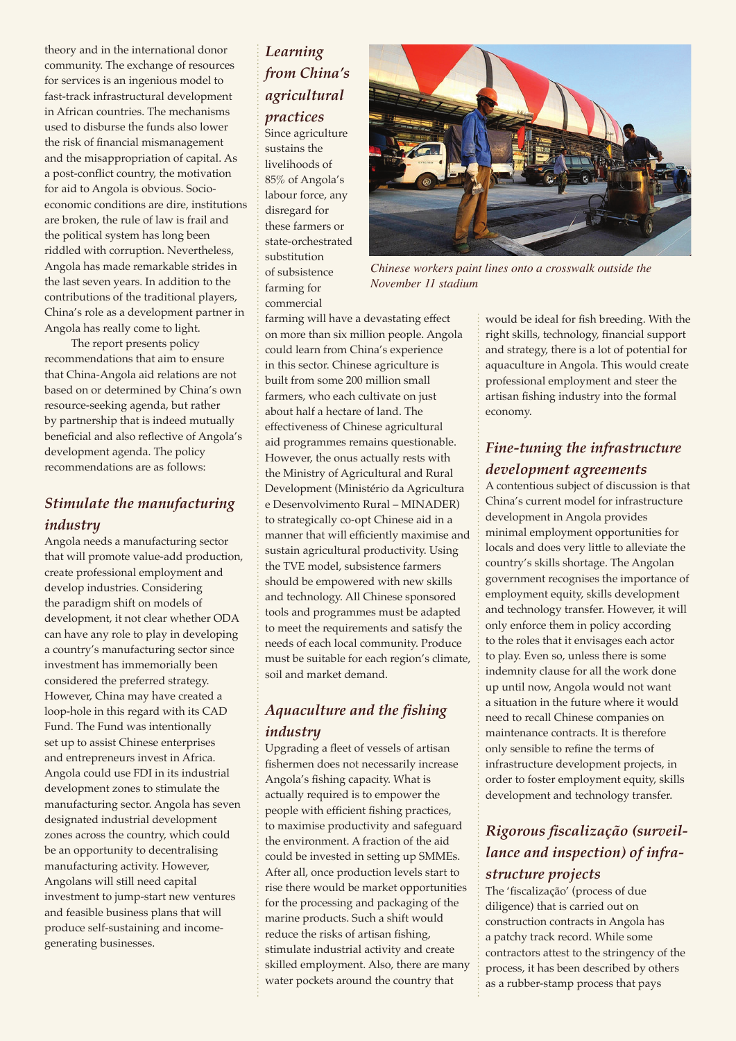theory and in the international donor community. The exchange of resources for services is an ingenious model to fast-track infrastructural development in African countries. The mechanisms used to disburse the funds also lower the risk of financial mismanagement and the misappropriation of capital. As a post-conflict country, the motivation for aid to Angola is obvious. Socioeconomic conditions are dire, institutions are broken, the rule of law is frail and the political system has long been riddled with corruption. Nevertheless, Angola has made remarkable strides in the last seven years. In addition to the contributions of the traditional players, China's role as a development partner in Angola has really come to light.

The report presents policy recommendations that aim to ensure that China-Angola aid relations are not based on or determined by China's own resource-seeking agenda, but rather by partnership that is indeed mutually beneficial and also reflective of Angola's development agenda. The policy recommendations are as follows:

#### *Stimulate the manufacturing industry*

Angola needs a manufacturing sector that will promote value-add production, create professional employment and develop industries. Considering the paradigm shift on models of development, it not clear whether ODA can have any role to play in developing a country's manufacturing sector since investment has immemorially been considered the preferred strategy. However, China may have created a loop-hole in this regard with its CAD Fund. The Fund was intentionally set up to assist Chinese enterprises and entrepreneurs invest in Africa. Angola could use FDI in its industrial development zones to stimulate the manufacturing sector. Angola has seven designated industrial development zones across the country, which could be an opportunity to decentralising manufacturing activity. However, Angolans will still need capital investment to jump-start new ventures and feasible business plans that will produce self-sustaining and incomegenerating businesses.

### *Learning from China's agricultural practices*

Since agriculture sustains the livelihoods of 85% of Angola's labour force, any disregard for these farmers or state-orchestrated substitution of subsistence farming for commercial



*Chinese workers paint lines onto a crosswalk outside the November 11 stadium*

farming will have a devastating effect on more than six million people. Angola could learn from China's experience in this sector. Chinese agriculture is built from some 200 million small farmers, who each cultivate on just about half a hectare of land. The effectiveness of Chinese agricultural aid programmes remains questionable. However, the onus actually rests with the Ministry of Agricultural and Rural Development (Ministério da Agricultura e Desenvolvimento Rural – MINADER) to strategically co-opt Chinese aid in a manner that will efficiently maximise and sustain agricultural productivity. Using the TVE model, subsistence farmers should be empowered with new skills and technology. All Chinese sponsored tools and programmes must be adapted to meet the requirements and satisfy the needs of each local community. Produce must be suitable for each region's climate, soil and market demand.

### *Aquaculture and the fishing industry*

Upgrading a fleet of vessels of artisan fishermen does not necessarily increase Angola's fishing capacity. What is actually required is to empower the people with efficient fishing practices, to maximise productivity and safeguard the environment. A fraction of the aid could be invested in setting up SMMEs. After all, once production levels start to rise there would be market opportunities for the processing and packaging of the marine products. Such a shift would reduce the risks of artisan fishing, stimulate industrial activity and create skilled employment. Also, there are many water pockets around the country that

would be ideal for fish breeding. With the right skills, technology, financial support and strategy, there is a lot of potential for aquaculture in Angola. This would create professional employment and steer the artisan fishing industry into the formal economy.

#### *Fine-tuning the infrastructure development agreements*

A contentious subject of discussion is that China's current model for infrastructure development in Angola provides minimal employment opportunities for locals and does very little to alleviate the country's skills shortage. The Angolan government recognises the importance of employment equity, skills development and technology transfer. However, it will only enforce them in policy according to the roles that it envisages each actor to play. Even so, unless there is some indemnity clause for all the work done up until now, Angola would not want a situation in the future where it would need to recall Chinese companies on maintenance contracts. It is therefore only sensible to refine the terms of infrastructure development projects, in order to foster employment equity, skills development and technology transfer.

### *Rigorous fiscalização (surveillance and inspection) of infrastructure projects*

The 'fiscalização' (process of due diligence) that is carried out on construction contracts in Angola has a patchy track record. While some contractors attest to the stringency of the process, it has been described by others as a rubber-stamp process that pays